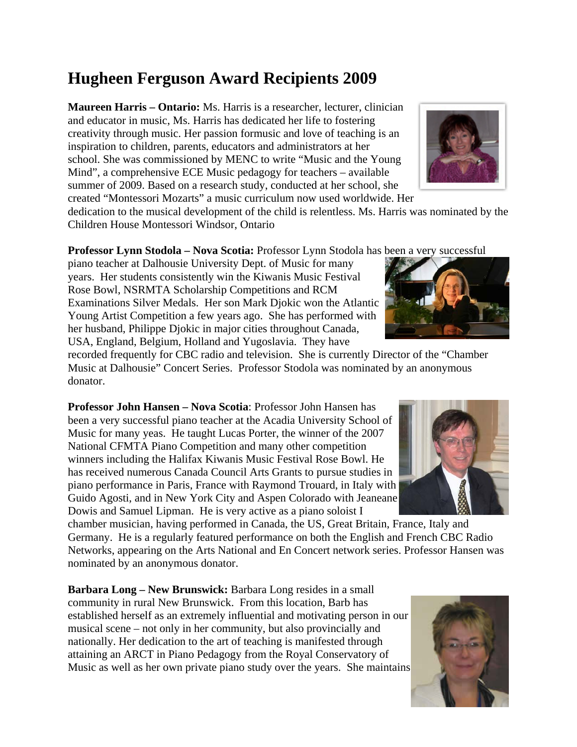## **Hugheen Ferguson Award Recipients 2009**

**Maureen Harris – Ontario:** Ms. Harris is a researcher, lecturer, clinician and educator in music, Ms. Harris has dedicated her life to fostering creativity through music. Her passion formusic and love of teaching is an inspiration to children, parents, educators and administrators at her school. She was commissioned by MENC to write "Music and the Young Mind", a comprehensive ECE Music pedagogy for teachers – available summer of 2009. Based on a research study, conducted at her school, she created "Montessori Mozarts" a music curriculum now used worldwide. Her

dedication to the musical development of the child is relentless. Ms. Harris was nominated by the Children House Montessori Windsor, Ontario

**Professor Lynn Stodola – Nova Scotia:** Professor Lynn Stodola has been a very successful

piano teacher at Dalhousie University Dept. of Music for many years. Her students consistently win the Kiwanis Music Festival Rose Bowl, NSRMTA Scholarship Competitions and RCM Examinations Silver Medals. Her son Mark Djokic won the Atlantic Young Artist Competition a few years ago. She has performed with her husband, Philippe Djokic in major cities throughout Canada, USA, England, Belgium, Holland and Yugoslavia. They have

recorded frequently for CBC radio and television. She is currently Director of the "Chamber Music at Dalhousie" Concert Series. Professor Stodola was nominated by an anonymous donator.

**Professor John Hansen – Nova Scotia**: Professor John Hansen has been a very successful piano teacher at the Acadia University School of Music for many yeas. He taught Lucas Porter, the winner of the 2007 National CFMTA Piano Competition and many other competition winners including the Halifax Kiwanis Music Festival Rose Bowl. He has received numerous Canada Council Arts Grants to pursue studies in piano performance in Paris, France with Raymond Trouard, in Italy with Guido Agosti, and in New York City and Aspen Colorado with Jeaneane Dowis and Samuel Lipman. He is very active as a piano soloist I

chamber musician, having performed in Canada, the US, Great Britain, France, Italy and Germany. He is a regularly featured performance on both the English and French CBC Radio Networks, appearing on the Arts National and En Concert network series. Professor Hansen was nominated by an anonymous donator.

**Barbara Long – New Brunswick:** Barbara Long resides in a small community in rural New Brunswick. From this location, Barb has established herself as an extremely influential and motivating person in our musical scene – not only in her community, but also provincially and nationally. Her dedication to the art of teaching is manifested through attaining an ARCT in Piano Pedagogy from the Royal Conservatory of Music as well as her own private piano study over the years. She maintains